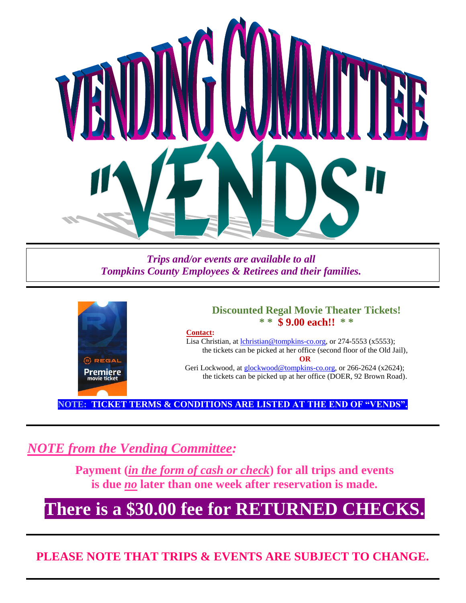

*Trips and/or events are available to all Tompkins County Employees & Retirees and their families.*



### **Discounted Regal Movie Theater Tickets! \* \* \$ 9.00 each!! \* \***

#### **Contact:**

Lisa Christian, at [lchristian@tompkins-co.org,](mailto:lchristian@tompkins-co.org) or 274-5553 (x5553); the tickets can be picked at her office (second floor of the Old Jail), **OR** Geri Lockwood, at [glockwood@tompkins-co.org,](mailto:glockwood@tompkins-co.org) or 266-2624 (x2624);

the tickets can be picked up at her office (DOER, 92 Brown Road).

**NOTE: TICKET TERMS & CONDITIONS ARE LISTED AT THE END OF "VENDS".**

*NOTE from the Vending Committee:*

**Payment (***in the form of cash or check***) for all trips and events is due** *no* **later than one week after reservation is made.**

## **There is a \$30.00 fee for RETURNED CHECKS.**

**PLEASE NOTE THAT TRIPS & EVENTS ARE SUBJECT TO CHANGE.**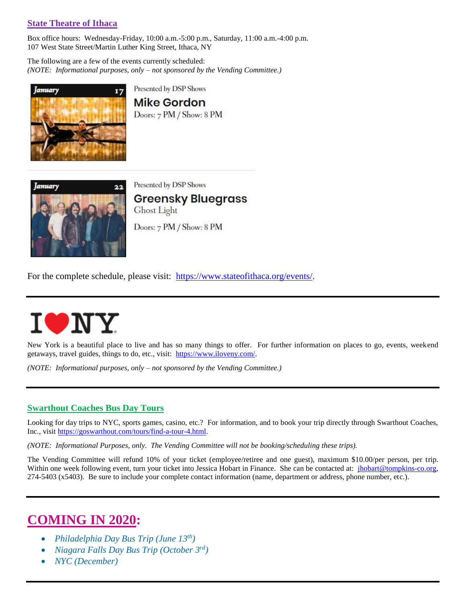#### **State Theatre of Ithaca**

Box office hours: Wednesday-Friday, 10:00 a.m.-5:00 p.m., Saturday, 11:00 a.m.-4:00 p.m. 107 West State Street/Martin Luther King Street, Ithaca, NY

The following are a few of the events currently scheduled: *(NOTE: Informational purposes, only – not sponsored by the Vending Committee.)*



Presented by DSP Shows

**Mike Gordon** Doors: 7 PM / Show: 8 PM



Presented by DSP Shows

**Greensky Bluegrass** Ghost Light Doors: 7 PM / Show: 8 PM

For the complete schedule, please visit: [https://www.stateofithaca.org/events/.](https://www.stateofithaca.org/events/)

# UNY

New York is a beautiful place to live and has so many things to offer. For further information on places to go, events, weekend getaways, travel guides, things to do, etc., visit: [https://www.iloveny.com/.](https://www.iloveny.com/)

*(NOTE: Informational purposes, only – not sponsored by the Vending Committee.)*

#### **Swarthout Coaches Bus Day Tours**

Looking for day trips to NYC, sports games, casino, etc.? For information, and to book your trip directly through Swarthout Coaches, Inc., visit [https://goswarthout.com/tours/find-a-tour-4.html.](https://goswarthout.com/tours/find-a-tour-4.html)

*(NOTE: Informational Purposes, only. The Vending Committee will not be booking/scheduling these trips).*

The Vending Committee will refund 10% of your ticket (employee/retiree and one guest), maximum \$10.00/per person, per trip. Within one week following event, turn your ticket into Jessica Hobart in Finance. She can be contacted at: *jhobart@tompkins-co.org*, 274-5403 (x5403). Be sure to include your complete contact information (name, department or address, phone number, etc.).

### **COMING IN 2020:**

- *Philadelphia Day Bus Trip (June 13th)*
- *Niagara Falls Day Bus Trip (October 3rd)*
- *NYC (December)*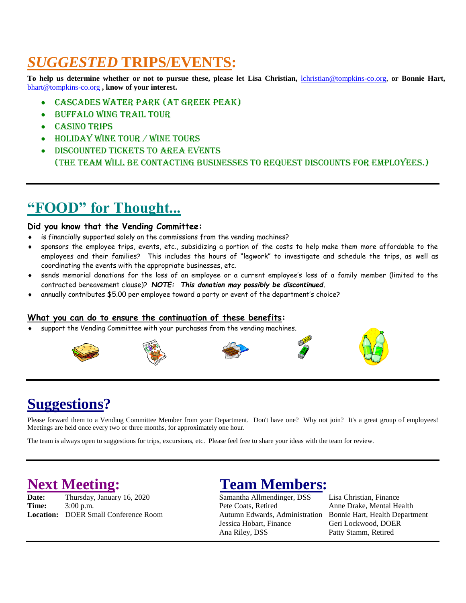### *SUGGESTED* **TRIPS/EVENTS:**

**To help us determine whether or not to pursue these, please let Lisa Christian,** [lchristian@tompkins-co.org,](mailto:lchristian@tompkins-co.org) **or Bonnie Hart,** [bhart@tompkins-co.org](mailto:bhart@tompkins-co.org) **, know of your interest.**

- Cascades Water Park (at Greek Peak)
- Buffalo Wing Trail Tour
- **CASINO TRIPS**
- Holiday Wine Tour / Wine Tours
- Discounted tickets to area events (The Team will be contacting businesses to request discounts for employees.)

### **"FOOD" for Thought...**

#### **Did you know that the Vending Committee:**

- is financially supported solely on the commissions from the vending machines?
- sponsors the employee trips, events, etc., subsidizing a portion of the costs to help make them more affordable to the employees and their families? This includes the hours of "legwork" to investigate and schedule the trips, as well as coordinating the events with the appropriate businesses, etc.
- sends memorial donations for the loss of an employee or a current employee's loss of a family member (limited to the contracted bereavement clause)? *NOTE: This donation may possibly be discontinued.*
- annually contributes \$5.00 per employee toward a party or event of the department's choice?

#### **What you can do to ensure the continuation of these benefits:**

support the Vending Committee with your purchases from the vending machines.











### **Suggestions?**

Please forward them to a Vending Committee Member from your Department. Don't have one? Why not join? It's a great group of employees! Meetings are held once every two or three months, for approximately one hour.

The team is always open to suggestions for trips, excursions, etc. Please feel free to share your ideas with the team for review.

**Date:** Thursday, January 16, 2020 Samantha Allmendinger, DSS Lisa Christian, Finance **Time:** 3:00 p.m. 2:00 p.m. Pete Coats, Retired Anne Drake, Mental Health **Location:** DOER Small Conference Room Autumn Edwards, Administration Bonnie Hart, Health Department

### **Next Meeting:** Team Members:

Jessica Hobart, Finance Geri Lockwood, DOER Ana Riley, DSS Patty Stamm, Retired